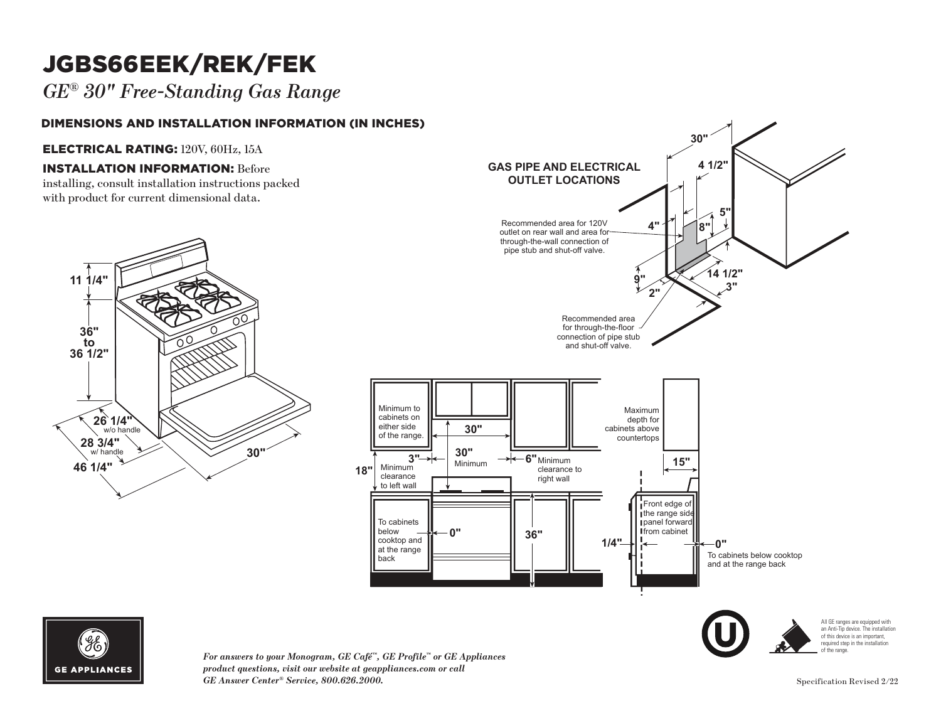# JGBS66EEK/REK/FEK

*GE® 30" Free-Standing Gas Range* 

#### DIMENSIONS AND INSTALLATION INFORMATION (IN INCHES)

#### ELECTRICAL RATING: 120V, 60Hz, 15A

### **INSTALLATION INFORMATION: Before**

installing, consult installation instructions packed with product for current dimensional data.







 $\it For~answers$  to your Monogram, GE Café™, GE Profile™ or GE Appliances product questions, visit our website at geappliances.com or call **CE** Anguan Cartas Service 800.696.3000 **GE Answer Center® Service, 800.626.2000.** Specification Revised 2/22

**18"**

 $\blacksquare$ 

**30"**

All GE ranges are equipped with an Anti-Tip device. The installation of this device is an important, required step in the installation of the range.